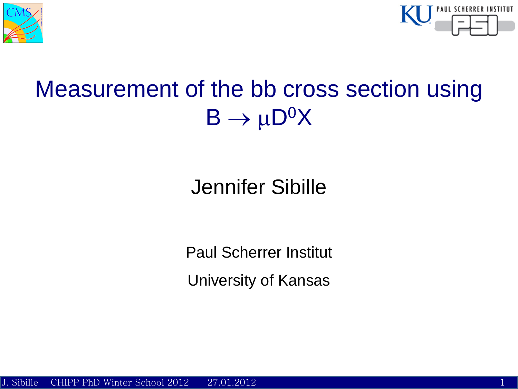



## Measurement of the bb cross section using  $B \to \mu D^0 X$

## Jennifer Sibille

Paul Scherrer Institut University of Kansas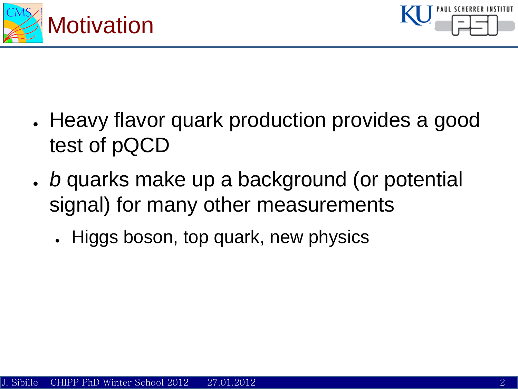



- Heavy flavor quark production provides a good test of pQCD
- *b* quarks make up a background (or potential signal) for many other measurements
	- Higgs boson, top quark, new physics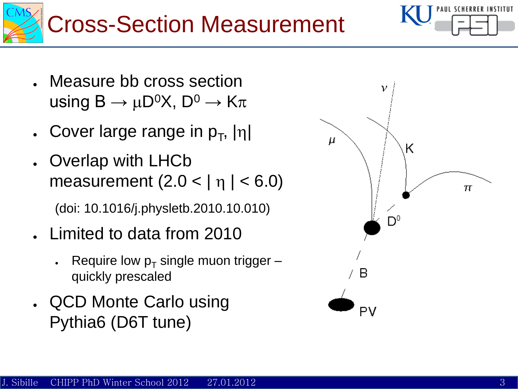



- Measure bb cross section using  $B \to \mu D^0 X$ ,  $D^0 \to K \pi$
- **.** Cover large range in  $p_T$ ,  $|\eta|$
- Overlap with LHCb measurement  $(2.0 < | \eta | < 6.0)$ (doi: 10.1016/j.physletb.2010.10.010)
- Limited to data from 2010
	- Require low  $p_T$  single muon trigger quickly prescaled
- QCD Monte Carlo using Pythia6 (D6T tune)

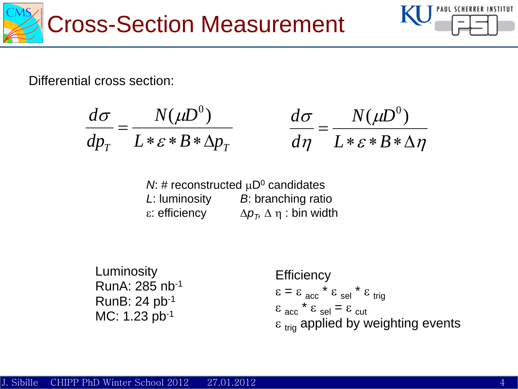



Differential cross section:

$$
\frac{d\sigma}{dp_T} = \frac{N(\mu D^0)}{L * \varepsilon * B * \Delta p_T} \qquad \frac{d\sigma}{d}
$$

$$
\frac{d\sigma}{d\eta} = \frac{N(\mu D^0)}{L * \varepsilon * B * \Delta \eta}
$$

*N*: # reconstructed  $\mu D^0$  candidates *L*: luminosity *B*: branching ratio  $ε$ *z* efficiency  $\Delta p_{\tau}$ ,  $\Delta \eta$  : bin width

Luminosity RunA: 285 nb-1 RunB: 24 pb-1 MC: 1.23 pb-1

**Efficiency**  $\epsilon = \epsilon_{acc} * \epsilon_{sel} * \epsilon_{tria}$  $\epsilon_{acc}$   $\star$   $\epsilon_{sel}$  =  $\epsilon_{cut}$  $\epsilon_{\text{trig}}$  applied by weighting events